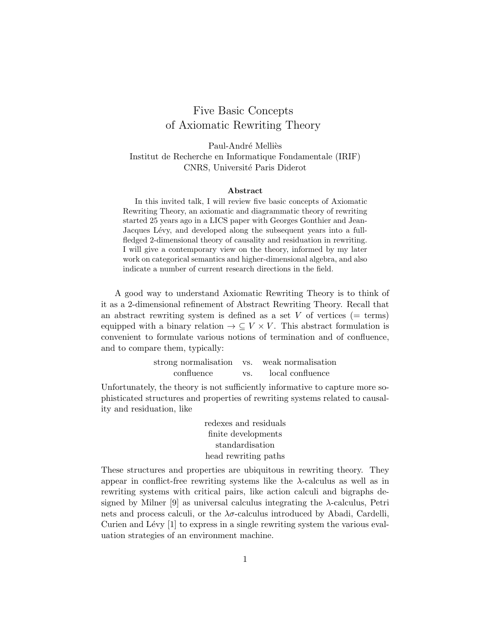## Five Basic Concepts of Axiomatic Rewriting Theory

Paul-André Melliès Institut de Recherche en Informatique Fondamentale (IRIF) CNRS, Université Paris Diderot

## Abstract

In this invited talk, I will review five basic concepts of Axiomatic Rewriting Theory, an axiomatic and diagrammatic theory of rewriting started 25 years ago in a LICS paper with Georges Gonthier and Jean-Jacques Lévy, and developed along the subsequent years into a fullfledged 2-dimensional theory of causality and residuation in rewriting. I will give a contemporary view on the theory, informed by my later work on categorical semantics and higher-dimensional algebra, and also indicate a number of current research directions in the field.

A good way to understand Axiomatic Rewriting Theory is to think of it as a 2-dimensional refinement of Abstract Rewriting Theory. Recall that an abstract rewriting system is defined as a set  $V$  of vertices (= terms) equipped with a binary relation  $\rightarrow \subseteq V \times V$ . This abstract formulation is convenient to formulate various notions of termination and of confluence, and to compare them, typically:

| strong normalisation vs. weak normalisation |     |                  |
|---------------------------------------------|-----|------------------|
| confluence                                  | VS. | local confluence |

Unfortunately, the theory is not sufficiently informative to capture more sophisticated structures and properties of rewriting systems related to causality and residuation, like

> redexes and residuals finite developments standardisation head rewriting paths

These structures and properties are ubiquitous in rewriting theory. They appear in conflict-free rewriting systems like the  $\lambda$ -calculus as well as in rewriting systems with critical pairs, like action calculi and bigraphs designed by Milner [9] as universal calculus integrating the λ-calculus, Petri nets and process calculi, or the  $\lambda \sigma$ -calculus introduced by Abadi, Cardelli, Curien and Lévy  $[1]$  to express in a single rewriting system the various evaluation strategies of an environment machine.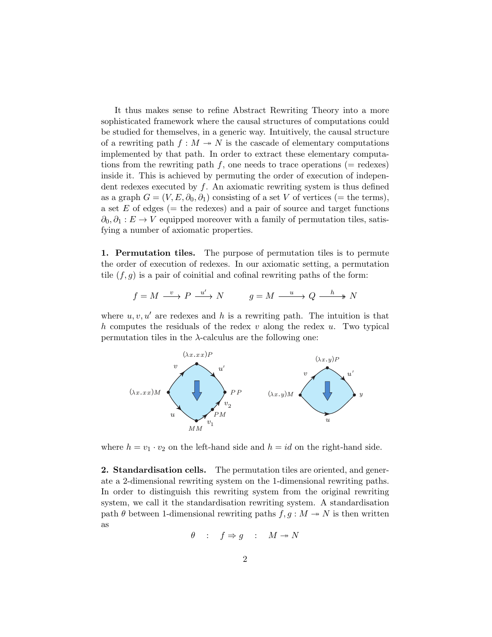It thus makes sense to refine Abstract Rewriting Theory into a more sophisticated framework where the causal structures of computations could be studied for themselves, in a generic way. Intuitively, the causal structure of a rewriting path  $f : M \to N$  is the cascade of elementary computations implemented by that path. In order to extract these elementary computations from the rewriting path f, one needs to trace operations ( $=$  redexes) inside it. This is achieved by permuting the order of execution of independent redexes executed by  $f$ . An axiomatic rewriting system is thus defined as a graph  $G = (V, E, \partial_0, \partial_1)$  consisting of a set V of vertices (= the terms), a set  $E$  of edges (= the redexes) and a pair of source and target functions  $\partial_0, \partial_1 : E \to V$  equipped moreover with a family of permutation tiles, satisfying a number of axiomatic properties.

1. Permutation tiles. The purpose of permutation tiles is to permute the order of execution of redexes. In our axiomatic setting, a permutation tile  $(f, g)$  is a pair of coinitial and cofinal rewriting paths of the form:

$$
f = M \xrightarrow{v} P \xrightarrow{u'} N
$$
  $g = M \xrightarrow{u} Q \xrightarrow{h} N$ 

where  $u, v, u'$  are redexes and h is a rewriting path. The intuition is that h computes the residuals of the redex  $v$  along the redex  $u$ . Two typical permutation tiles in the  $\lambda$ -calculus are the following one:



where  $h = v_1 \cdot v_2$  on the left-hand side and  $h = id$  on the right-hand side.

2. Standardisation cells. The permutation tiles are oriented, and generate a 2-dimensional rewriting system on the 1-dimensional rewriting paths. In order to distinguish this rewriting system from the original rewriting system, we call it the standardisation rewriting system. A standardisation path  $\theta$  between 1-dimensional rewriting paths  $f, g : M \rightarrow N$  is then written as

$$
\theta : f \Rightarrow g : M \twoheadrightarrow N
$$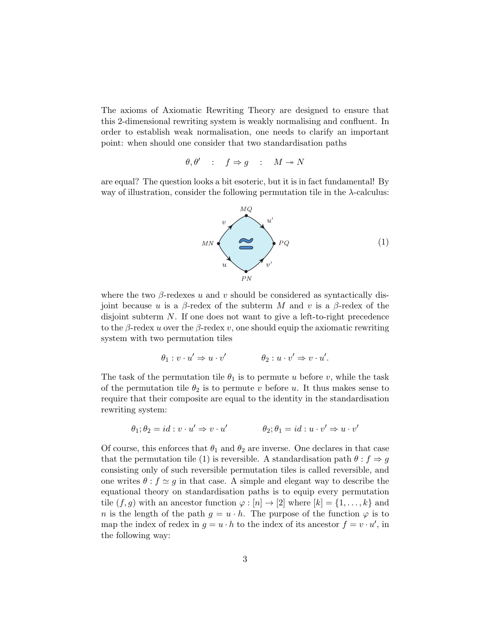The axioms of Axiomatic Rewriting Theory are designed to ensure that this 2-dimensional rewriting system is weakly normalising and confluent. In order to establish weak normalisation, one needs to clarify an important point: when should one consider that two standardisation paths

$$
\theta, \theta' \quad : \quad f \Rightarrow g \quad : \quad M \twoheadrightarrow N
$$

are equal? The question looks a bit esoteric, but it is in fact fundamental! By way of illustration, consider the following permutation tile in the λ-calculus:



where the two  $\beta$ -redexes u and v should be considered as syntactically disjoint because u is a  $\beta$ -redex of the subterm M and v is a  $\beta$ -redex of the disjoint subterm N. If one does not want to give a left-to-right precedence to the  $\beta$ -redex u over the  $\beta$ -redex v, one should equip the axiomatic rewriting system with two permutation tiles

$$
\theta_1: v \cdot u' \Rightarrow u \cdot v' \qquad \qquad \theta_2: u \cdot v' \Rightarrow v \cdot u'.
$$

The task of the permutation tile  $\theta_1$  is to permute u before v, while the task of the permutation tile  $\theta_2$  is to permute v before u. It thus makes sense to require that their composite are equal to the identity in the standardisation rewriting system:

$$
\theta_1; \theta_2 = id : v \cdot u' \Rightarrow v \cdot u' \qquad \qquad \theta_2; \theta_1 = id : u \cdot v' \Rightarrow u \cdot v'
$$

Of course, this enforces that  $\theta_1$  and  $\theta_2$  are inverse. One declares in that case that the permutation tile (1) is reversible. A standardisation path  $\theta : f \Rightarrow g$ consisting only of such reversible permutation tiles is called reversible, and one writes  $\theta$ :  $f \simeq g$  in that case. A simple and elegant way to describe the equational theory on standardisation paths is to equip every permutation tile  $(f, g)$  with an ancestor function  $\varphi : [n] \to [2]$  where  $[k] = \{1, \ldots, k\}$  and n is the length of the path  $g = u \cdot h$ . The purpose of the function  $\varphi$  is to map the index of redex in  $g = u \cdot h$  to the index of its ancestor  $f = v \cdot u'$ , in the following way: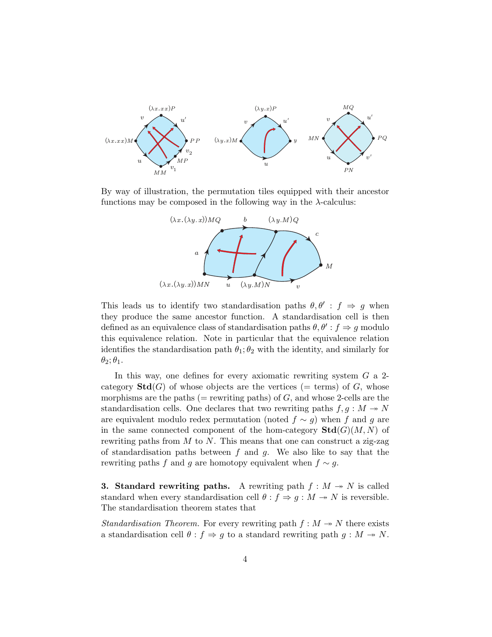

By way of illustration, the permutation tiles equipped with their ancestor functions may be composed in the following way in the  $\lambda$ -calculus:



This leads us to identify two standardisation paths  $\theta$ ,  $\theta'$ :  $f \Rightarrow g$  when they produce the same ancestor function. A standardisation cell is then defined as an equivalence class of standardisation paths  $\theta$ ,  $\theta'$  :  $f \Rightarrow g$  modulo this equivalence relation. Note in particular that the equivalence relation identifies the standardisation path  $\theta_1$ ;  $\theta_2$  with the identity, and similarly for  $\theta_2$ ;  $\theta_1$ .

In this way, one defines for every axiomatic rewriting system  $G$  a 2category  $\text{Std}(G)$  of whose objects are the vertices (= terms) of G, whose morphisms are the paths ( $=$  rewriting paths) of  $G$ , and whose 2-cells are the standardisation cells. One declares that two rewriting paths  $f, g : M \rightarrow N$ are equivalent modulo redex permutation (noted  $f \sim g$ ) when f and g are in the same connected component of the hom-category  $\text{Std}(G)(M, N)$  of rewriting paths from  $M$  to  $N$ . This means that one can construct a zig-zag of standardisation paths between  $f$  and  $g$ . We also like to say that the rewriting paths f and g are homotopy equivalent when  $f \sim g$ .

**3. Standard rewriting paths.** A rewriting path  $f : M \rightarrow N$  is called standard when every standardisation cell  $\theta : f \Rightarrow g : M \rightarrow N$  is reversible. The standardisation theorem states that

Standardisation Theorem. For every rewriting path  $f : M \rightarrow N$  there exists a standardisation cell  $\theta : f \Rightarrow g$  to a standard rewriting path  $g : M \rightarrow N$ .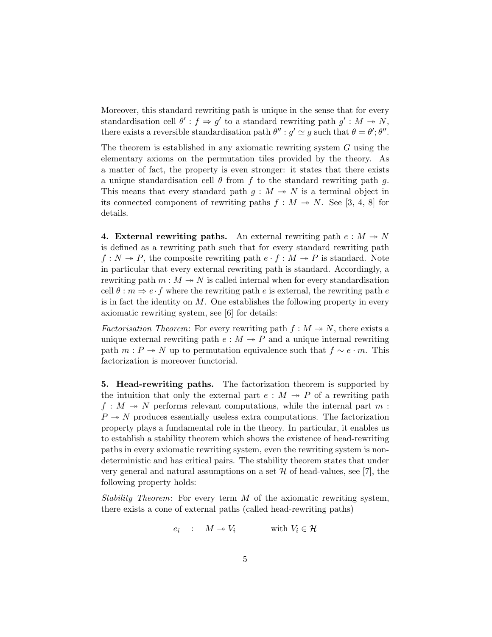Moreover, this standard rewriting path is unique in the sense that for every standardisation cell  $\theta' : f \Rightarrow g'$  to a standard rewriting path  $g' : M \twoheadrightarrow N$ , there exists a reversible standardisation path  $\theta'' : g' \simeq g$  such that  $\theta = \theta'; \theta''$ .

The theorem is established in any axiomatic rewriting system G using the elementary axioms on the permutation tiles provided by the theory. As a matter of fact, the property is even stronger: it states that there exists a unique standardisation cell  $\theta$  from f to the standard rewriting path g. This means that every standard path  $g : M \rightarrow N$  is a terminal object in its connected component of rewriting paths  $f : M \to N$ . See [3, 4, 8] for details.

4. External rewriting paths. An external rewriting path  $e : M \rightarrow N$ is defined as a rewriting path such that for every standard rewriting path  $f: N \to P$ , the composite rewriting path  $e \cdot f : M \to P$  is standard. Note in particular that every external rewriting path is standard. Accordingly, a rewriting path  $m : M \to N$  is called internal when for every standardisation cell  $\theta : m \Rightarrow e \cdot f$  where the rewriting path e is external, the rewriting path e is in fact the identity on  $M$ . One establishes the following property in every axiomatic rewriting system, see [6] for details:

Factorisation Theorem: For every rewriting path  $f : M \rightarrow N$ , there exists a unique external rewriting path  $e : M \to P$  and a unique internal rewriting path  $m : P \to N$  up to permutation equivalence such that  $f \sim e \cdot m$ . This factorization is moreover functorial.

5. Head-rewriting paths. The factorization theorem is supported by the intuition that only the external part  $e : M \rightarrow P$  of a rewriting path  $f: M \rightarrow N$  performs relevant computations, while the internal part m:  $P \rightarrow N$  produces essentially useless extra computations. The factorization property plays a fundamental role in the theory. In particular, it enables us to establish a stability theorem which shows the existence of head-rewriting paths in every axiomatic rewriting system, even the rewriting system is nondeterministic and has critical pairs. The stability theorem states that under very general and natural assumptions on a set  $\mathcal H$  of head-values, see [7], the following property holds:

Stability Theorem: For every term  $M$  of the axiomatic rewriting system, there exists a cone of external paths (called head-rewriting paths)

$$
e_i : M \twoheadrightarrow V_i \qquad \text{with } V_i \in \mathcal{H}
$$